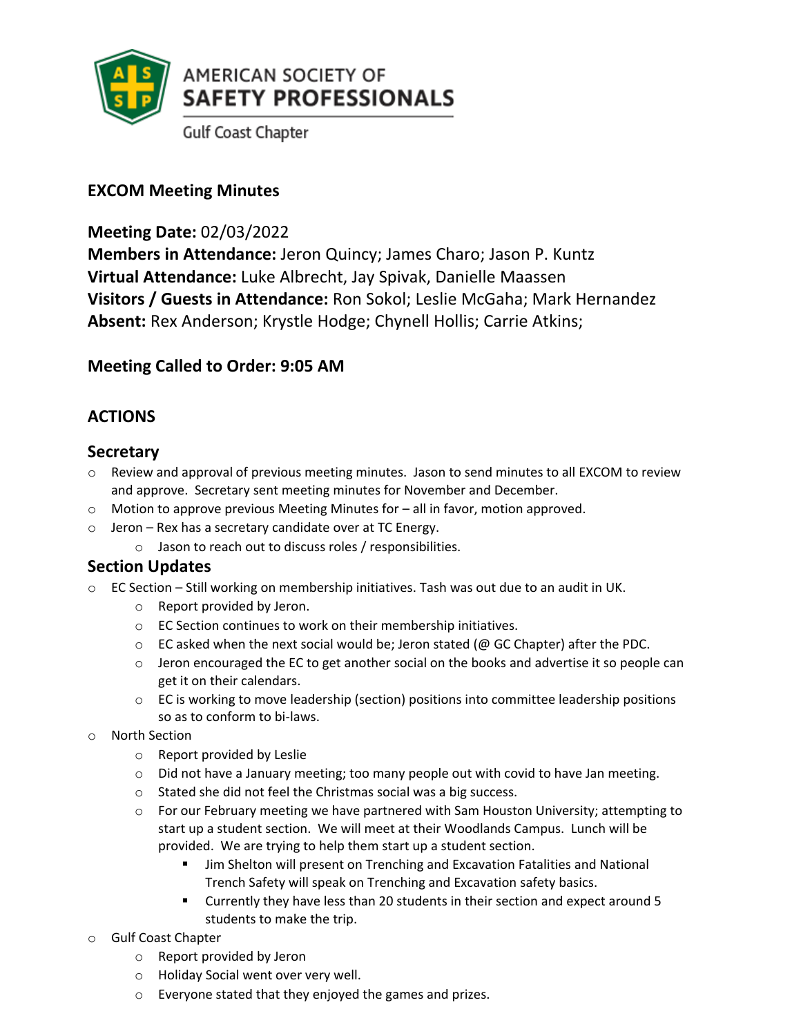

**Gulf Coast Chapter** 

# **EXCOM Meeting Minutes**

## **Meeting Date:** 02/03/2022

**Members in Attendance:** Jeron Quincy; James Charo; Jason P. Kuntz **Virtual Attendance:** Luke Albrecht, Jay Spivak, Danielle Maassen **Visitors / Guests in Attendance:** Ron Sokol; Leslie McGaha; Mark Hernandez **Absent:** Rex Anderson; Krystle Hodge; Chynell Hollis; Carrie Atkins;

# **Meeting Called to Order: 9:05 AM**

# **ACTIONS**

### **Secretary**

- $\circ$  Review and approval of previous meeting minutes. Jason to send minutes to all EXCOM to review and approve. Secretary sent meeting minutes for November and December.
- $\circ$  Motion to approve previous Meeting Minutes for  $-$  all in favor, motion approved.
- $\circ$  Jeron Rex has a secretary candidate over at TC Energy.
	- o Jason to reach out to discuss roles / responsibilities.

# **Section Updates**

- o EC Section Still working on membership initiatives. Tash was out due to an audit in UK.
	- o Report provided by Jeron.
	- o EC Section continues to work on their membership initiatives.
	- $\circ$  EC asked when the next social would be; Jeron stated (@ GC Chapter) after the PDC.
	- $\circ$  Jeron encouraged the EC to get another social on the books and advertise it so people can get it on their calendars.
	- $\circ$  EC is working to move leadership (section) positions into committee leadership positions so as to conform to bi-laws.
- o North Section
	- o Report provided by Leslie
	- $\circ$  Did not have a January meeting; too many people out with covid to have Jan meeting.
	- o Stated she did not feel the Christmas social was a big success.
	- $\circ$  For our February meeting we have partnered with Sam Houston University; attempting to start up a student section. We will meet at their Woodlands Campus. Lunch will be provided. We are trying to help them start up a student section.
		- **■** Jim Shelton will present on Trenching and Excavation Fatalities and National Trench Safety will speak on Trenching and Excavation safety basics.
		- Currently they have less than 20 students in their section and expect around 5 students to make the trip.
- o Gulf Coast Chapter
	- o Report provided by Jeron
	- o Holiday Social went over very well.
	- o Everyone stated that they enjoyed the games and prizes.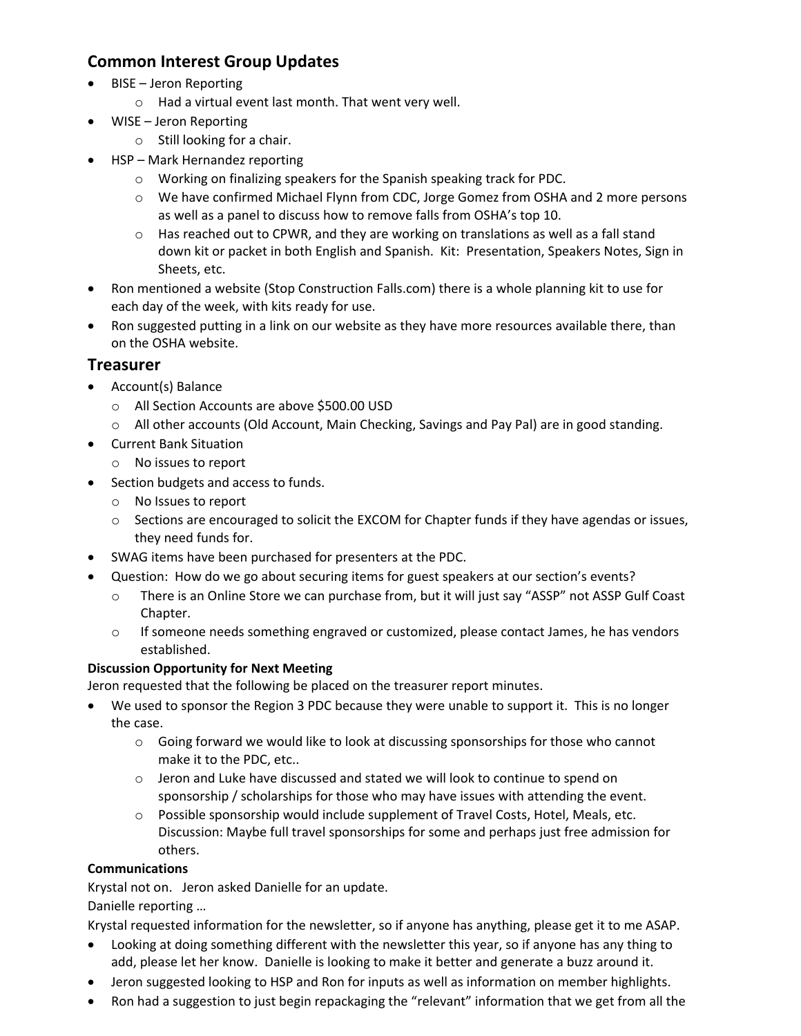## **Common Interest Group Updates**

- BISE Jeron Reporting
	- o Had a virtual event last month. That went very well.
- WISE Jeron Reporting
	- o Still looking for a chair.
- HSP Mark Hernandez reporting
	- o Working on finalizing speakers for the Spanish speaking track for PDC.
	- o We have confirmed Michael Flynn from CDC, Jorge Gomez from OSHA and 2 more persons as well as a panel to discuss how to remove falls from OSHA's top 10.
	- $\circ$  Has reached out to CPWR, and they are working on translations as well as a fall stand down kit or packet in both English and Spanish. Kit: Presentation, Speakers Notes, Sign in Sheets, etc.
- Ron mentioned a website (Stop Construction Falls.com) there is a whole planning kit to use for each day of the week, with kits ready for use.
- Ron suggested putting in a link on our website as they have more resources available there, than on the OSHA website.

### **Treasurer**

- Account(s) Balance
	- o All Section Accounts are above \$500.00 USD
	- o All other accounts (Old Account, Main Checking, Savings and Pay Pal) are in good standing.
- Current Bank Situation
	- o No issues to report
- Section budgets and access to funds.
	- o No Issues to report
	- $\circ$  Sections are encouraged to solicit the EXCOM for Chapter funds if they have agendas or issues, they need funds for.
- SWAG items have been purchased for presenters at the PDC.
- Question: How do we go about securing items for guest speakers at our section's events?
	- o There is an Online Store we can purchase from, but it will just say "ASSP" not ASSP Gulf Coast Chapter.
	- o If someone needs something engraved or customized, please contact James, he has vendors established.

### **Discussion Opportunity for Next Meeting**

Jeron requested that the following be placed on the treasurer report minutes.

- We used to sponsor the Region 3 PDC because they were unable to support it. This is no longer the case.
	- $\circ$  Going forward we would like to look at discussing sponsorships for those who cannot make it to the PDC, etc..
	- $\circ$  Jeron and Luke have discussed and stated we will look to continue to spend on sponsorship / scholarships for those who may have issues with attending the event.
	- $\circ$  Possible sponsorship would include supplement of Travel Costs, Hotel, Meals, etc. Discussion: Maybe full travel sponsorships for some and perhaps just free admission for others.

### **Communications**

Krystal not on. Jeron asked Danielle for an update.

Danielle reporting …

Krystal requested information for the newsletter, so if anyone has anything, please get it to me ASAP.

- Looking at doing something different with the newsletter this year, so if anyone has any thing to add, please let her know. Danielle is looking to make it better and generate a buzz around it.
- Jeron suggested looking to HSP and Ron for inputs as well as information on member highlights.
- Ron had a suggestion to just begin repackaging the "relevant" information that we get from all the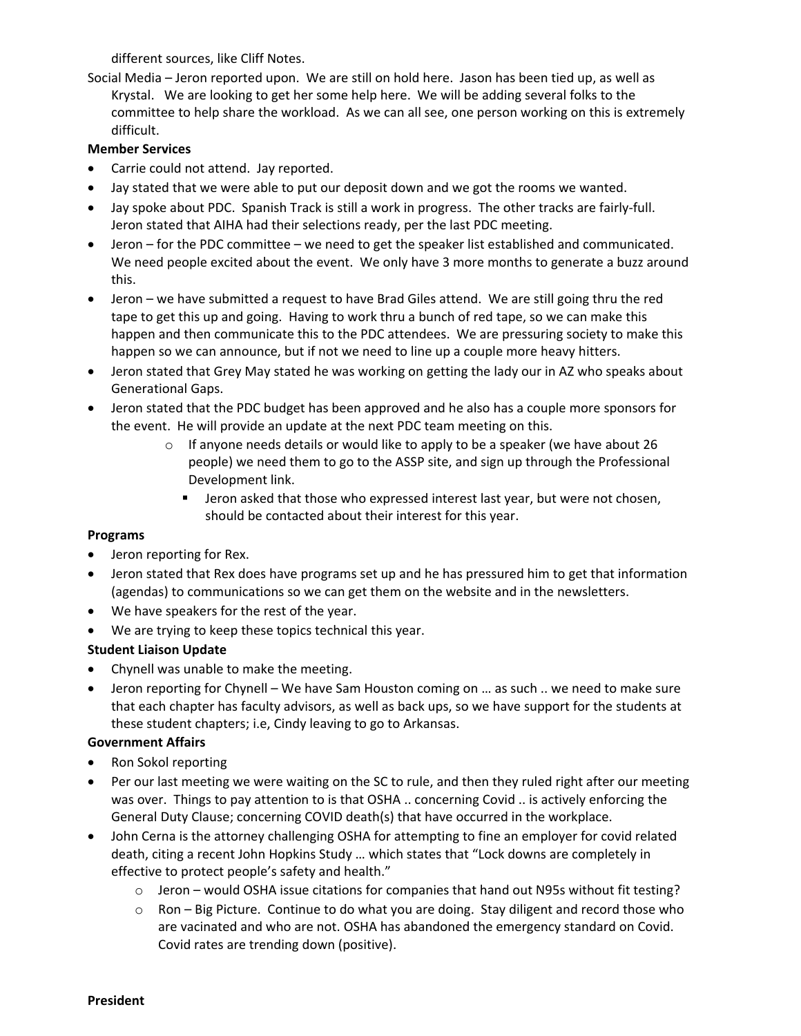different sources, like Cliff Notes.

Social Media – Jeron reported upon. We are still on hold here. Jason has been tied up, as well as Krystal. We are looking to get her some help here. We will be adding several folks to the committee to help share the workload. As we can all see, one person working on this is extremely difficult.

#### **Member Services**

- Carrie could not attend. Jay reported.
- Jay stated that we were able to put our deposit down and we got the rooms we wanted.
- Jay spoke about PDC. Spanish Track is still a work in progress. The other tracks are fairly-full. Jeron stated that AIHA had their selections ready, per the last PDC meeting.
- Jeron for the PDC committee we need to get the speaker list established and communicated. We need people excited about the event. We only have 3 more months to generate a buzz around this.
- Jeron we have submitted a request to have Brad Giles attend. We are still going thru the red tape to get this up and going. Having to work thru a bunch of red tape, so we can make this happen and then communicate this to the PDC attendees. We are pressuring society to make this happen so we can announce, but if not we need to line up a couple more heavy hitters.
- Jeron stated that Grey May stated he was working on getting the lady our in AZ who speaks about Generational Gaps.
- Jeron stated that the PDC budget has been approved and he also has a couple more sponsors for the event. He will provide an update at the next PDC team meeting on this.
	- $\circ$  If anyone needs details or would like to apply to be a speaker (we have about 26 people) we need them to go to the ASSP site, and sign up through the Professional Development link.
		- **■** Jeron asked that those who expressed interest last year, but were not chosen, should be contacted about their interest for this year.

### **Programs**

- Jeron reporting for Rex.
- Jeron stated that Rex does have programs set up and he has pressured him to get that information (agendas) to communications so we can get them on the website and in the newsletters.
- We have speakers for the rest of the year.
- We are trying to keep these topics technical this year.

### **Student Liaison Update**

- Chynell was unable to make the meeting.
- Jeron reporting for Chynell We have Sam Houston coming on ... as such .. we need to make sure that each chapter has faculty advisors, as well as back ups, so we have support for the students at these student chapters; i.e, Cindy leaving to go to Arkansas.

#### **Government Affairs**

- Ron Sokol reporting
- Per our last meeting we were waiting on the SC to rule, and then they ruled right after our meeting was over. Things to pay attention to is that OSHA .. concerning Covid .. is actively enforcing the General Duty Clause; concerning COVID death(s) that have occurred in the workplace.
- John Cerna is the attorney challenging OSHA for attempting to fine an employer for covid related death, citing a recent John Hopkins Study … which states that "Lock downs are completely in effective to protect people's safety and health."
	- $\circ$  Jeron would OSHA issue citations for companies that hand out N95s without fit testing?
	- o Ron Big Picture. Continue to do what you are doing. Stay diligent and record those who are vacinated and who are not. OSHA has abandoned the emergency standard on Covid. Covid rates are trending down (positive).